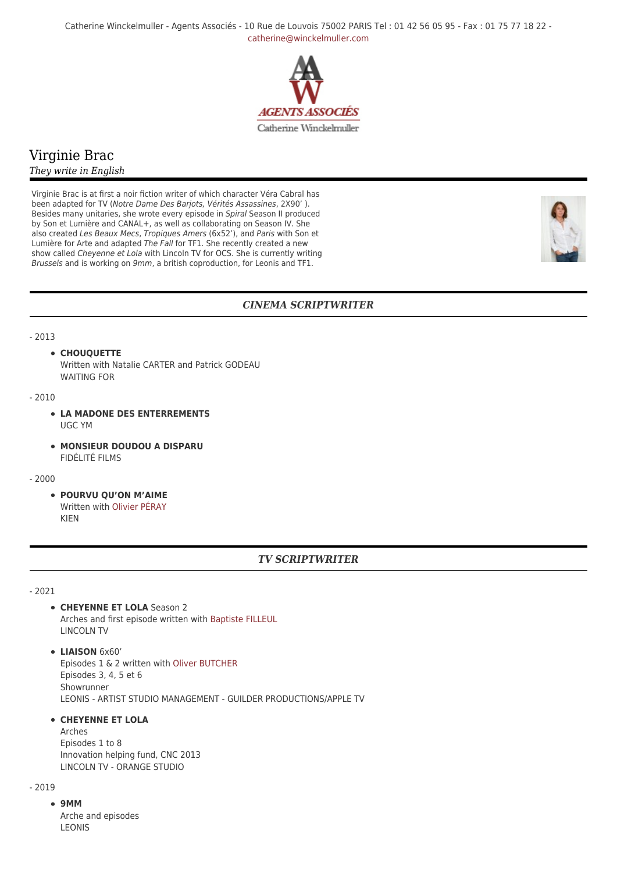Catherine Winckelmuller - Agents Associés - 10 Rue de Louvois 75002 PARIS Tel : 01 42 56 05 95 - Fax : 01 75 77 18 22 [catherine@winckelmuller.com](mailto:catherine@winckelmuller.com)



# Virginie Brac

### *They write in English*

Virginie Brac is at first a noir fiction writer of which character Véra Cabral has been adapted for TV (Notre Dame Des Barjots, Vérités Assassines, 2X90' ). Besides many unitaries, she wrote every episode in Spiral Season II produced by Son et Lumière and CANAL+, as well as collaborating on Season IV. She also created Les Beaux Mecs, Tropiques Amers (6x52'), and Paris with Son et Lumière for Arte and adapted The Fall for TF1. She recently created a new show called Cheyenne et Lola with Lincoln TV for OCS. She is currently writing Brussels and is working on 9mm, a british coproduction, for Leonis and TF1.



## *CINEMA SCRIPTWRITER*

#### - 2013

#### **CHOUQUETTE**

Written with Natalie CARTER and Patrick GODEAU WAITING FOR

#### - 2010

- **LA MADONE DES ENTERREMENTS** UGC YM
- **MONSIEUR DOUDOU A DISPARU** FIDÉLITÉ FILMS

#### - 2000

**POURVU QU'ON M'AIME** Written with [Olivier PÉRAY](https://www.winckelmuller.com/Peray.html) KIEN

### *TV SCRIPTWRITER*

- 2021

- **CHEYENNE ET LOLA** Season 2 Arches and first episode written with [Baptiste FILLEUL](https://www.winckelmuller.com/Filleul.html) LINCOLN TV
- **LIAISON** 6x60' Episodes 1 & 2 written with [Oliver BUTCHER](https://www.winckelmuller.com/BUTCHER.html) Episodes 3, 4, 5 et 6 Showrunner LEONIS - ARTIST STUDIO MANAGEMENT - GUILDER PRODUCTIONS/APPLE TV

## **• CHEYENNE ET LOLA**

Arches Episodes 1 to 8 Innovation helping fund, CNC 2013 LINCOLN TV - ORANGE STUDIO

## $-2019$

**9MM** Arche and episodes LEONIS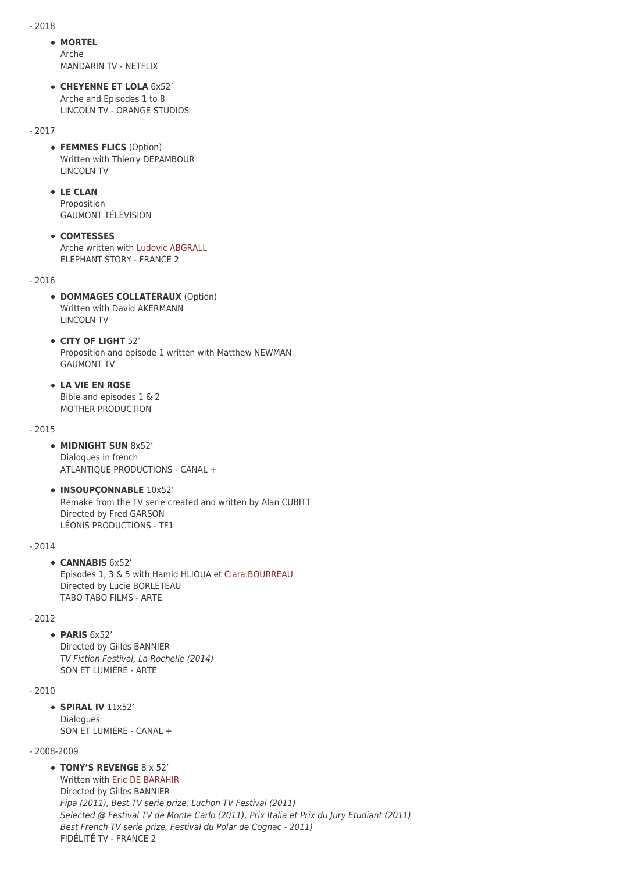- 2018

#### **MORTEL** Arche

MANDARIN TV - NETFLIX

**CHEYENNE ET LOLA** 6x52' Arche and Episodes 1 to 8 LINCOLN TV - ORANGE STUDIOS

- 2017

- **FEMMES FLICS** (Option) Written with Thierry DEPAMBOUR LINCOLN TV
- **LE CLAN**

Proposition GAUMONT TÉLÉVISION

**COMTESSES** Arche written with [Ludovic ABGRALL](https://www.winckelmuller.com/Article105) ELEPHANT STORY - FRANCE 2

 $-2016$ 

- **DOMMAGES COLLATÉRAUX** (Option) Written with David AKERMANN LINCOLN TV
- **CITY OF LIGHT** 52' Proposition and episode 1 written with Matthew NEWMAN GAUMONT TV
- **LA VIE EN ROSE** Bible and episodes 1 & 2 MOTHER PRODUCTION

#### - 2015

- **MIDNIGHT SUN** 8x52' Dialogues in french ATLANTIQUE PRODUCTIONS - CANAL +
- **INSOUPÇONNABLE** 10x52' Remake from the TV serie created and written by Alan CUBITT Directed by Fred GARSON LÉONIS PRODUCTIONS - TF1

- 2014

#### **CANNABIS** 6x52'

Episodes 1, 3 & 5 with Hamid HLIOUA et [Clara BOURREAU](https://www.winckelmuller.com/Bourreau.html) Directed by Lucie BORLETEAU TABO TABO FILMS - ARTE

### - 2012

**PARIS** 6x52' Directed by Gilles BANNIER TV Fiction Festival, La Rochelle (2014) SON ET LUMIÈRE - ARTE

#### - 2010

**SPIRAL IV** 11x52' Dialogues SON ET LUMIÈRE - CANAL +

### - 2008-2009

**TONY'S REVENGE** 8 x 52'

Written with [Eric DE BARAHIR](https://www.winckelmuller.com/De-Barahir.html) Directed by Gilles BANNIER Fipa (2011), Best TV serie prize, Luchon TV Festival (2011) Selected @ Festival TV de Monte Carlo (2011), Prix Italia et Prix du Jury Etudiant (2011) Best French TV serie prize, Festival du Polar de Cognac - 2011) FIDÉLITÉ TV - FRANCE 2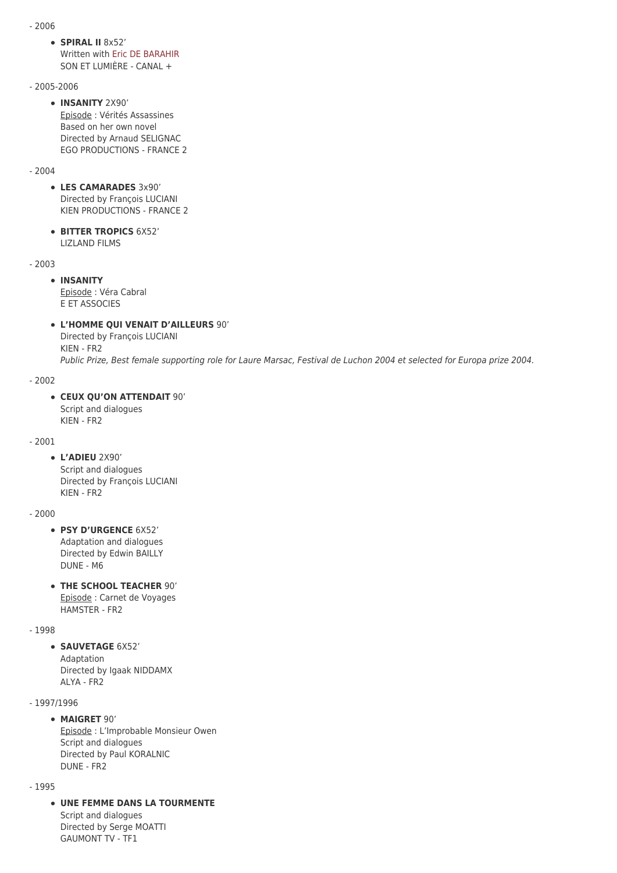- 2006
	- **SPIRAL II** 8x52' Written with [Eric DE BARAHIR](https://www.winckelmuller.com/De-Barahir.html) SON ET LUMIÈRE - CANAL +
- 2005-2006
	- **INSANITY** 2X90' Episode : Vérités Assassines Based on her own novel Directed by Arnaud SELIGNAC EGO PRODUCTIONS - FRANCE 2

#### - 2004

- **LES CAMARADES** 3x90' Directed by François LUCIANI KIEN PRODUCTIONS - FRANCE 2
- **BITTER TROPICS** 6X52' LIZLAND FILMS

- 2003

## **INSANITY**

Episode : Véra Cabral E ET ASSOCIES

### **L'HOMME QUI VENAIT D'AILLEURS** 90'

Directed by François LUCIANI KIEN - FR2

Public Prize, Best female supporting role for Laure Marsac, Festival de Luchon 2004 et selected for Europa prize 2004.

### - 2002

### **CEUX QU'ON ATTENDAIT** 90'

Script and dialogues KIEN - FR2

#### - 2001

**L'ADIEU** 2X90' Script and dialogues Directed by François LUCIANI KIEN - FR2

#### - 2000

- **PSY D'URGENCE** 6X52' Adaptation and dialogues Directed by Edwin BAILLY DUNE - M6
- **THE SCHOOL TEACHER** 90' Episode : Carnet de Voyages HAMSTER - FR2

## - 1998

**SAUVETAGE 6X52'** Adaptation Directed by Igaak NIDDAMX ALYA - FR2

#### - 1997/1996

### **MAIGRET** 90'

Episode : L'Improbable Monsieur Owen Script and dialogues Directed by Paul KORALNIC DUNE - FR2

#### - 1995

**UNE FEMME DANS LA TOURMENTE**

Script and dialogues Directed by Serge MOATTI GAUMONT TV - TF1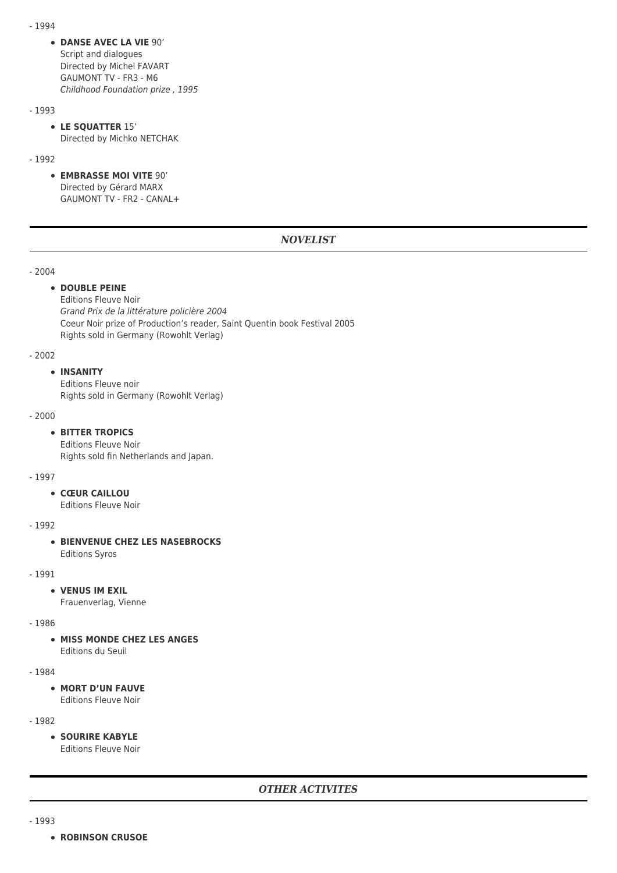- 1994
	- **DANSE AVEC LA VIE** 90' Script and dialogues Directed by Michel FAVART GAUMONT TV - FR3 - M6 Childhood Foundation prize , 1995

#### - 1993

**LE SQUATTER** 15' Directed by Michko NETCHAK

#### - 1992

**EMBRASSE MOI VITE** 90' Directed by Gérard MARX GAUMONT TV - FR2 - CANAL+

## *NOVELIST*

### - 2004

### **• DOUBLE PEINE**

Editions Fleuve Noir Grand Prix de la littérature policière 2004 Coeur Noir prize of Production's reader, Saint Quentin book Festival 2005 Rights sold in Germany (Rowohlt Verlag)

#### - 2002

#### **INSANITY**

Editions Fleuve noir Rights sold in Germany (Rowohlt Verlag)

#### - 2000

#### **BITTER TROPICS**

Editions Fleuve Noir Rights sold fin Netherlands and Japan.

#### - 1997

**CŒUR CAILLOU**

Editions Fleuve Noir

#### - 1992

### **BIENVENUE CHEZ LES NASEBROCKS**

Editions Syros

### - 1991

#### **VENUS IM EXIL**

Frauenverlag, Vienne

#### - 1986

**• MISS MONDE CHEZ LES ANGES** Editions du Seuil

#### - 1984

## **MORT D'UN FAUVE**

Editions Fleuve Noir

- 1982

**SOURIRE KABYLE** Editions Fleuve Noir

- 1993